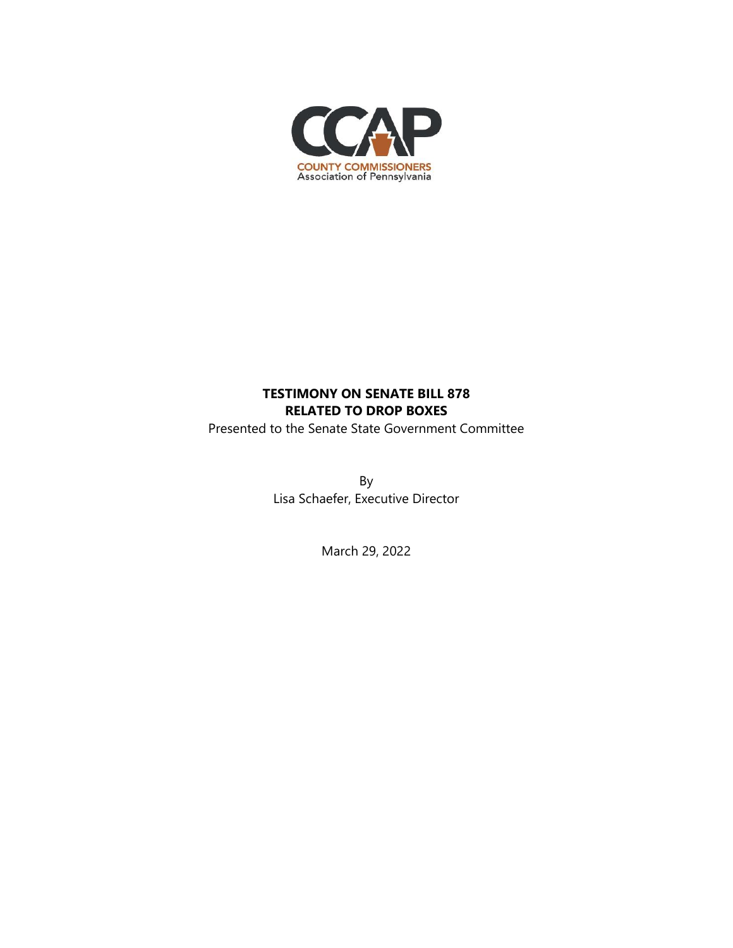

## **TESTIMONY ON SENATE BILL 878 RELATED TO DROP BOXES**

Presented to the Senate State Government Committee

By Lisa Schaefer, Executive Director

March 29, 2022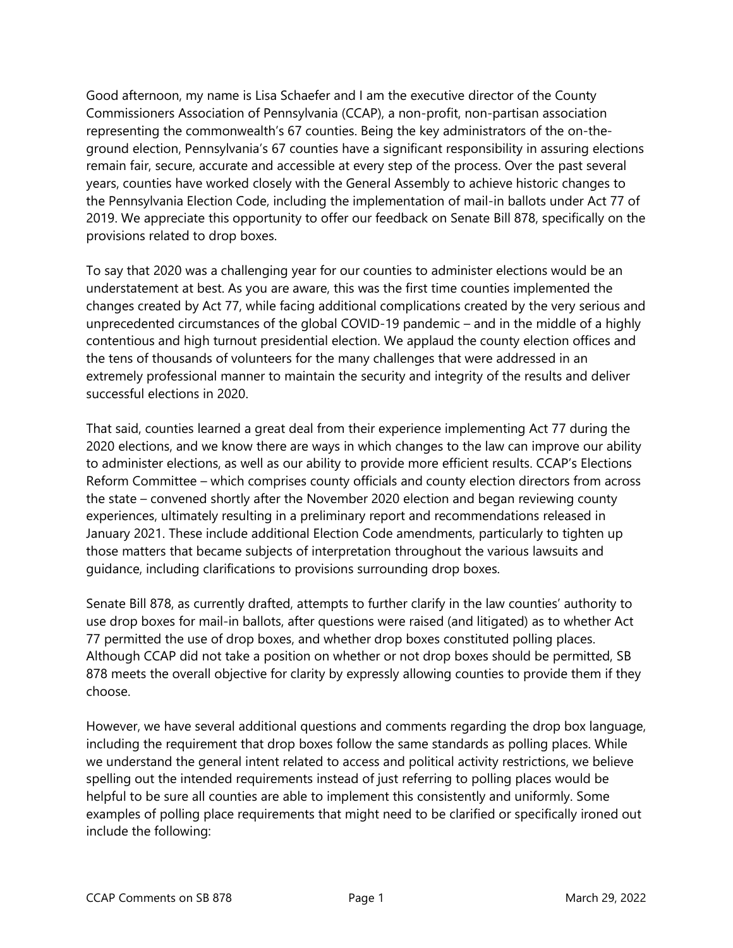Good afternoon, my name is Lisa Schaefer and I am the executive director of the County Commissioners Association of Pennsylvania (CCAP), a non-profit, non-partisan association representing the commonwealth's 67 counties. Being the key administrators of the on-theground election, Pennsylvania's 67 counties have a significant responsibility in assuring elections remain fair, secure, accurate and accessible at every step of the process. Over the past several years, counties have worked closely with the General Assembly to achieve historic changes to the Pennsylvania Election Code, including the implementation of mail-in ballots under Act 77 of 2019. We appreciate this opportunity to offer our feedback on Senate Bill 878, specifically on the provisions related to drop boxes.

To say that 2020 was a challenging year for our counties to administer elections would be an understatement at best. As you are aware, this was the first time counties implemented the changes created by Act 77, while facing additional complications created by the very serious and unprecedented circumstances of the global COVID-19 pandemic – and in the middle of a highly contentious and high turnout presidential election. We applaud the county election offices and the tens of thousands of volunteers for the many challenges that were addressed in an extremely professional manner to maintain the security and integrity of the results and deliver successful elections in 2020.

That said, counties learned a great deal from their experience implementing Act 77 during the 2020 elections, and we know there are ways in which changes to the law can improve our ability to administer elections, as well as our ability to provide more efficient results. CCAP's Elections Reform Committee – which comprises county officials and county election directors from across the state – convened shortly after the November 2020 election and began reviewing county experiences, ultimately resulting in a preliminary report and recommendations released in January 2021. These include additional Election Code amendments, particularly to tighten up those matters that became subjects of interpretation throughout the various lawsuits and guidance, including clarifications to provisions surrounding drop boxes.

Senate Bill 878, as currently drafted, attempts to further clarify in the law counties' authority to use drop boxes for mail-in ballots, after questions were raised (and litigated) as to whether Act 77 permitted the use of drop boxes, and whether drop boxes constituted polling places. Although CCAP did not take a position on whether or not drop boxes should be permitted, SB 878 meets the overall objective for clarity by expressly allowing counties to provide them if they choose.

However, we have several additional questions and comments regarding the drop box language, including the requirement that drop boxes follow the same standards as polling places. While we understand the general intent related to access and political activity restrictions, we believe spelling out the intended requirements instead of just referring to polling places would be helpful to be sure all counties are able to implement this consistently and uniformly. Some examples of polling place requirements that might need to be clarified or specifically ironed out include the following: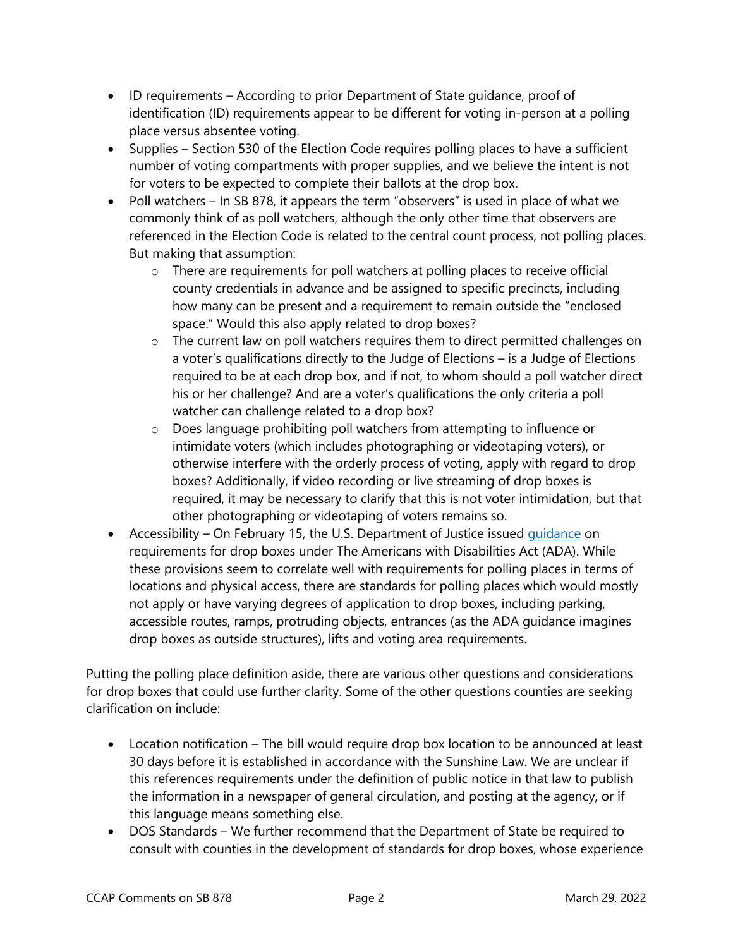- ID requirements According to prior Department of State guidance, proof of identification (ID) requirements appear to be different for voting in-person at a polling place versus absentee voting.
- Supplies Section 530 of the Election Code requires polling places to have a sufficient number of voting compartments with proper supplies, and we believe the intent is not for voters to be expected to complete their ballots at the drop box.
- Poll watchers In SB 878, it appears the term "observers" is used in place of what we commonly think of as poll watchers, although the only other time that observers are referenced in the Election Code is related to the central count process, not polling places. But making that assumption:
	- o There are requirements for poll watchers at polling places to receive official county credentials in advance and be assigned to specific precincts, including how many can be present and a requirement to remain outside the "enclosed space." Would this also apply related to drop boxes?
	- o The current law on poll watchers requires them to direct permitted challenges on a voter's qualifications directly to the Judge of Elections – is a Judge of Elections required to be at each drop box, and if not, to whom should a poll watcher direct his or her challenge? And are a voter's qualifications the only criteria a poll watcher can challenge related to a drop box?
	- o Does language prohibiting poll watchers from attempting to influence or intimidate voters (which includes photographing or videotaping voters), or otherwise interfere with the orderly process of voting, apply with regard to drop boxes? Additionally, if video recording or live streaming of drop boxes is required, it may be necessary to clarify that this is not voter intimidation, but that other photographing or videotaping of voters remains so.
- Accessibility On February 15, the U.S. Department of Justice issued quidance on requirements for drop boxes under The Americans with Disabilities Act (ADA). While these provisions seem to correlate well with requirements for polling places in terms of locations and physical access, there are standards for polling places which would mostly not apply or have varying degrees of application to drop boxes, including parking, accessible routes, ramps, protruding objects, entrances (as the ADA guidance imagines drop boxes as outside structures), lifts and voting area requirements.

Putting the polling place definition aside, there are various other questions and considerations for drop boxes that could use further clarity. Some of the other questions counties are seeking clarification on include:

- Location notification The bill would require drop box location to be announced at least 30 days before it is established in accordance with the Sunshine Law. We are unclear if this references requirements under the definition of public notice in that law to publish the information in a newspaper of general circulation, and posting at the agency, or if this language means something else.
- DOS Standards We further recommend that the Department of State be required to consult with counties in the development of standards for drop boxes, whose experience